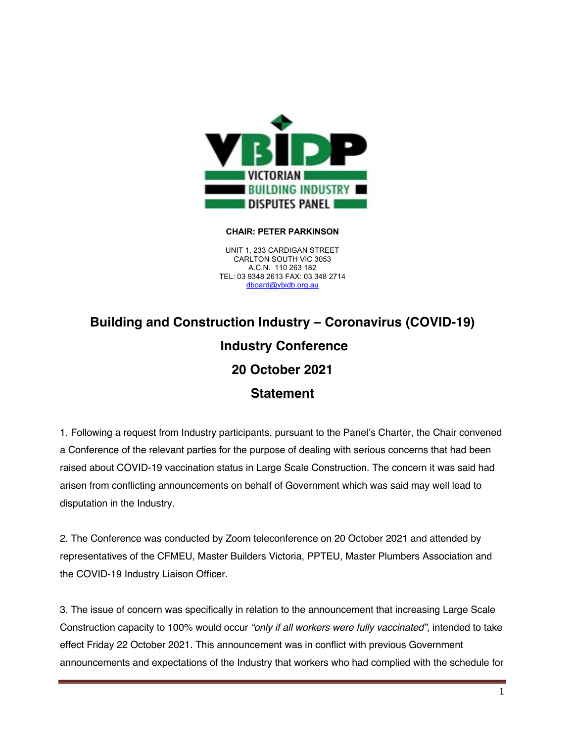

## **CHAIR: PETER PARKINSON**

UNIT 1, 233 CARDIGAN STREET CARLTON SOUTH VIC 3053 A.C.N. 110 263 182 TEL: 03 9348 2613 FAX: 03 348 2714 dboard@vbidb.org.au

## **Building and Construction Industry – Coronavirus (COVID-19) Industry Conference 20 October 2021 Statement**

1. Following a request from Industry participants, pursuant to the Panel's Charter, the Chair convened a Conference of the relevant parties for the purpose of dealing with serious concerns that had been raised about COVID-19 vaccination status in Large Scale Construction. The concern it was said had arisen from conflicting announcements on behalf of Government which was said may well lead to disputation in the Industry.

2. The Conference was conducted by Zoom teleconference on 20 October 2021 and attended by representatives of the CFMEU, Master Builders Victoria, PPTEU, Master Plumbers Association and the COVID-19 Industry Liaison Officer.

3. The issue of concern was specifically in relation to the announcement that increasing Large Scale Construction capacity to 100% would occur *"only if all workers were fully vaccinated",* intended to take effect Friday 22 October 2021. This announcement was in conflict with previous Government announcements and expectations of the Industry that workers who had complied with the schedule for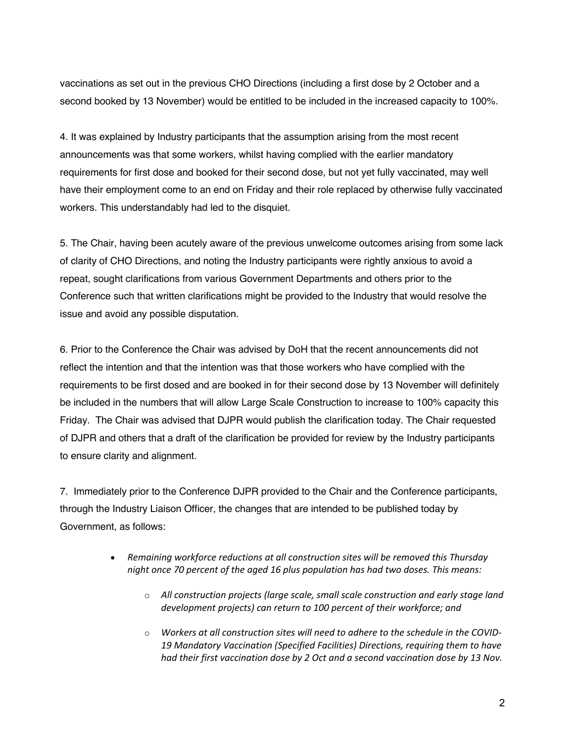vaccinations as set out in the previous CHO Directions (including a first dose by 2 October and a second booked by 13 November) would be entitled to be included in the increased capacity to 100%.

4. It was explained by Industry participants that the assumption arising from the most recent announcements was that some workers, whilst having complied with the earlier mandatory requirements for first dose and booked for their second dose, but not yet fully vaccinated, may well have their employment come to an end on Friday and their role replaced by otherwise fully vaccinated workers. This understandably had led to the disquiet.

5. The Chair, having been acutely aware of the previous unwelcome outcomes arising from some lack of clarity of CHO Directions, and noting the Industry participants were rightly anxious to avoid a repeat, sought clarifications from various Government Departments and others prior to the Conference such that written clarifications might be provided to the Industry that would resolve the issue and avoid any possible disputation.

6. Prior to the Conference the Chair was advised by DoH that the recent announcements did not reflect the intention and that the intention was that those workers who have complied with the requirements to be first dosed and are booked in for their second dose by 13 November will definitely be included in the numbers that will allow Large Scale Construction to increase to 100% capacity this Friday. The Chair was advised that DJPR would publish the clarification today. The Chair requested of DJPR and others that a draft of the clarification be provided for review by the Industry participants to ensure clarity and alignment.

7. Immediately prior to the Conference DJPR provided to the Chair and the Conference participants, through the Industry Liaison Officer, the changes that are intended to be published today by Government, as follows:

- *Remaining workforce reductions at all construction sites will be removed this Thursday night once 70 percent of the aged 16 plus population has had two doses. This means:*
	- o *All construction projects (large scale, small scale construction and early stage land development projects) can return to 100 percent of their workforce; and*
	- o *Workers at all construction sites will need to adhere to the schedule in the COVID-19 Mandatory Vaccination (Specified Facilities) Directions, requiring them to have had their first vaccination dose by 2 Oct and a second vaccination dose by 13 Nov.*